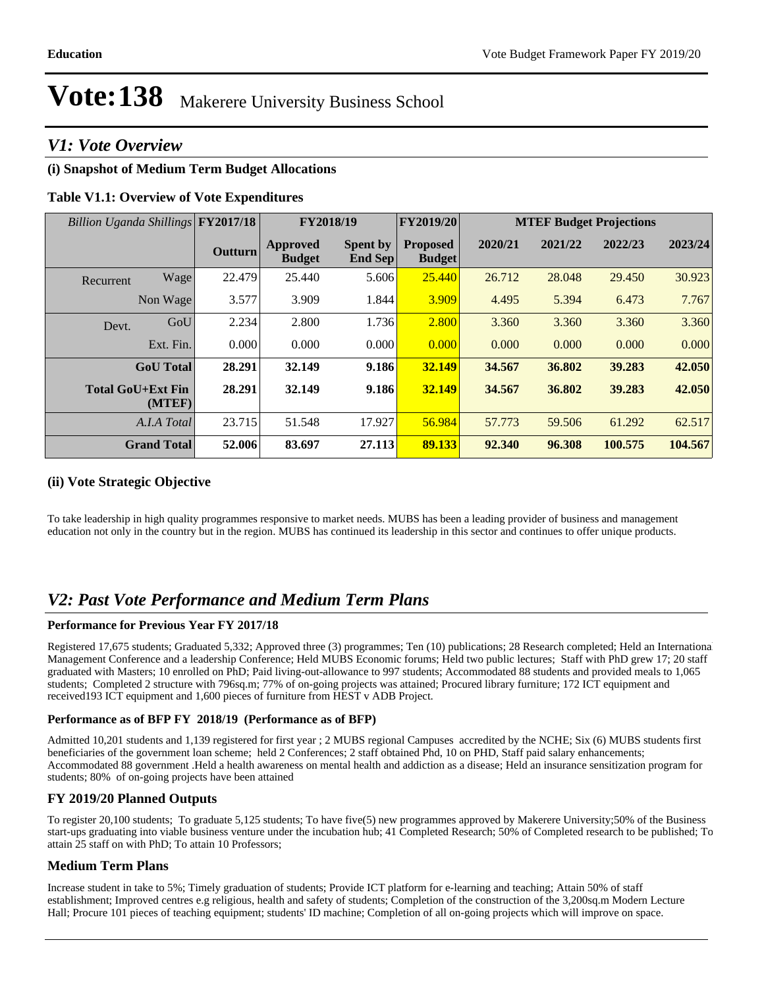### *V1: Vote Overview*

#### **(i) Snapshot of Medium Term Budget Allocations**

#### **Table V1.1: Overview of Vote Expenditures**

| Billion Uganda Shillings FY2017/18 |           |         |                                  | FY2018/19                  | <b>FY2019/20</b>                 |         |         | <b>MTEF Budget Projections</b> |         |
|------------------------------------|-----------|---------|----------------------------------|----------------------------|----------------------------------|---------|---------|--------------------------------|---------|
|                                    |           | Outturn | <b>Approved</b><br><b>Budget</b> | <b>Spent by</b><br>End Sep | <b>Proposed</b><br><b>Budget</b> | 2020/21 | 2021/22 | 2022/23                        | 2023/24 |
| Recurrent                          | Wage      | 22.479  | 25.440                           | 5.606                      | 25.440                           | 26.712  | 28.048  | 29.450                         | 30.923  |
| Non Wage                           |           | 3.577   | 3.909                            | 1.844                      | 3.909                            | 4.495   | 5.394   | 6.473                          | 7.767   |
| Devt.                              | GoU       | 2.234   | 2.800                            | 1.736                      | 2.800                            | 3.360   | 3.360   | 3.360                          | 3.360   |
|                                    | Ext. Fin. | 0.000   | 0.000                            | 0.000                      | 0.000                            | 0.000   | 0.000   | 0.000                          | 0.000   |
| <b>GoU</b> Total                   |           | 28.291  | 32.149                           | 9.186                      | 32.149                           | 34.567  | 36.802  | 39.283                         | 42.050  |
| <b>Total GoU+Ext Fin</b>           | (MTEF)    | 28.291  | 32.149                           | 9.186                      | 32.149                           | 34.567  | 36.802  | 39.283                         | 42.050  |
| A.I.A Total                        |           | 23.715  | 51.548                           | 17.927                     | 56.984                           | 57.773  | 59.506  | 61.292                         | 62.517  |
| <b>Grand Total</b>                 |           | 52.006  | 83.697                           | 27.113                     | 89.133                           | 92.340  | 96.308  | 100.575                        | 104.567 |

#### **(ii) Vote Strategic Objective**

To take leadership in high quality programmes responsive to market needs. MUBS has been a leading provider of business and management education not only in the country but in the region. MUBS has continued its leadership in this sector and continues to offer unique products.

### *V2: Past Vote Performance and Medium Term Plans*

#### **Performance for Previous Year FY 2017/18**

Registered 17,675 students; Graduated 5,332; Approved three (3) programmes; Ten (10) publications; 28 Research completed; Held an International Management Conference and a leadership Conference; Held MUBS Economic forums; Held two public lectures; Staff with PhD grew 17; 20 staff graduated with Masters; 10 enrolled on PhD; Paid living-out-allowance to 997 students; Accommodated 88 students and provided meals to 1,065 students; Completed 2 structure with 796sq.m; 77% of on-going projects was attained; Procured library furniture; 172 ICT equipment and received193 ICT equipment and 1,600 pieces of furniture from HEST v ADB Project.

#### **Performance as of BFP FY 2018/19 (Performance as of BFP)**

Admitted 10,201 students and 1,139 registered for first year ; 2 MUBS regional Campuses accredited by the NCHE; Six (6) MUBS students first beneficiaries of the government loan scheme; held 2 Conferences; 2 staff obtained Phd, 10 on PHD, Staff paid salary enhancements; Accommodated 88 government .Held a health awareness on mental health and addiction as a disease; Held an insurance sensitization program for students; 80% of on-going projects have been attained

#### **FY 2019/20 Planned Outputs**

To register 20,100 students; To graduate 5,125 students; To have five(5) new programmes approved by Makerere University;50% of the Business start-ups graduating into viable business venture under the incubation hub; 41 Completed Research; 50% of Completed research to be published; To attain 25 staff on with PhD; To attain 10 Professors;

#### **Medium Term Plans**

Increase student in take to 5%; Timely graduation of students; Provide ICT platform for e-learning and teaching; Attain 50% of staff establishment; Improved centres e.g religious, health and safety of students; Completion of the construction of the 3,200sq.m Modern Lecture Hall; Procure 101 pieces of teaching equipment; students' ID machine; Completion of all on-going projects which will improve on space.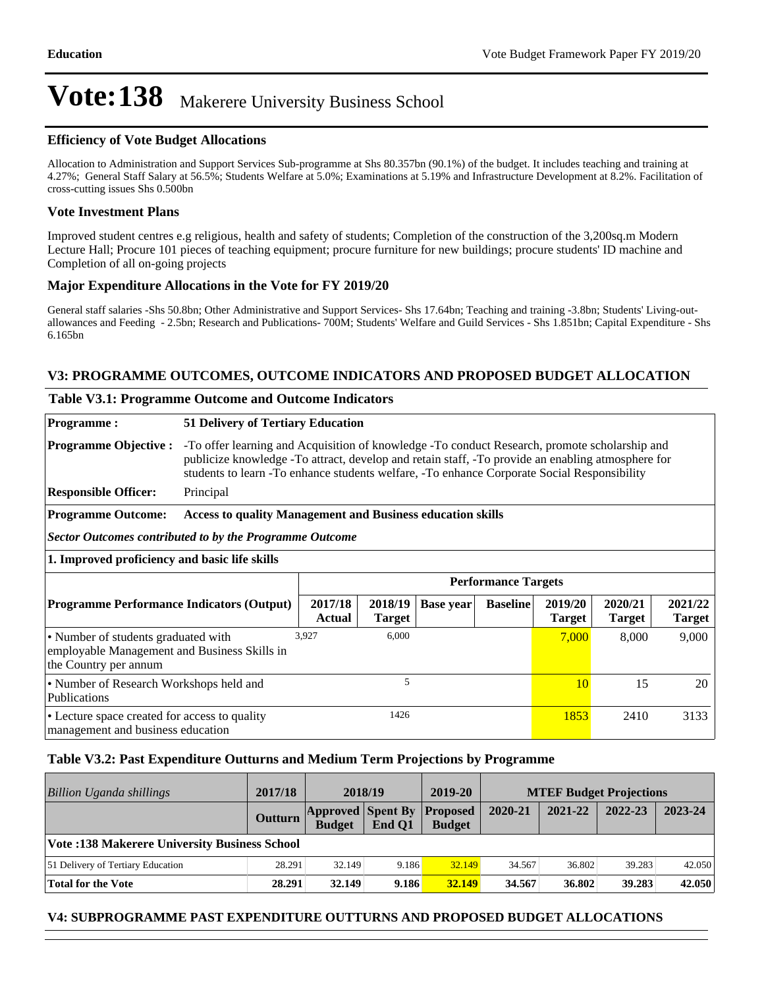#### **Efficiency of Vote Budget Allocations**

Allocation to Administration and Support Services Sub-programme at Shs 80.357bn (90.1%) of the budget. It includes teaching and training at 4.27%; General Staff Salary at 56.5%; Students Welfare at 5.0%; Examinations at 5.19% and Infrastructure Development at 8.2%. Facilitation of cross-cutting issues Shs 0.500bn

#### **Vote Investment Plans**

Improved student centres e.g religious, health and safety of students; Completion of the construction of the 3,200sq.m Modern Lecture Hall; Procure 101 pieces of teaching equipment; procure furniture for new buildings; procure students' ID machine and Completion of all on-going projects

#### **Major Expenditure Allocations in the Vote for FY 2019/20**

General staff salaries -Shs 50.8bn; Other Administrative and Support Services- Shs 17.64bn; Teaching and training -3.8bn; Students' Living-outallowances and Feeding - 2.5bn; Research and Publications- 700M; Students' Welfare and Guild Services - Shs 1.851bn; Capital Expenditure - Shs 6.165bn

#### **V3: PROGRAMME OUTCOMES, OUTCOME INDICATORS AND PROPOSED BUDGET ALLOCATION**

| <b>Table V3.1: Programme Outcome and Outcome Indicators</b>                                                                                      |                                                                   |                                                                                                                                                                                                                                                                                                   |                   |                  |                            |                          |                          |                          |
|--------------------------------------------------------------------------------------------------------------------------------------------------|-------------------------------------------------------------------|---------------------------------------------------------------------------------------------------------------------------------------------------------------------------------------------------------------------------------------------------------------------------------------------------|-------------------|------------------|----------------------------|--------------------------|--------------------------|--------------------------|
| <b>Programme:</b>                                                                                                                                | 51 Delivery of Tertiary Education                                 |                                                                                                                                                                                                                                                                                                   |                   |                  |                            |                          |                          |                          |
| <b>Programme Objective:</b>                                                                                                                      |                                                                   | -To offer learning and Acquisition of knowledge -To conduct Research, promote scholarship and<br>publicize knowledge -To attract, develop and retain staff, -To provide an enabling atmosphere for<br>students to learn -To enhance students welfare, -To enhance Corporate Social Responsibility |                   |                  |                            |                          |                          |                          |
| <b>Responsible Officer:</b>                                                                                                                      | Principal                                                         |                                                                                                                                                                                                                                                                                                   |                   |                  |                            |                          |                          |                          |
| <b>Programme Outcome:</b>                                                                                                                        | <b>Access to quality Management and Business education skills</b> |                                                                                                                                                                                                                                                                                                   |                   |                  |                            |                          |                          |                          |
|                                                                                                                                                  | Sector Outcomes contributed to by the Programme Outcome           |                                                                                                                                                                                                                                                                                                   |                   |                  |                            |                          |                          |                          |
| 1. Improved proficiency and basic life skills                                                                                                    |                                                                   |                                                                                                                                                                                                                                                                                                   |                   |                  |                            |                          |                          |                          |
|                                                                                                                                                  |                                                                   |                                                                                                                                                                                                                                                                                                   |                   |                  | <b>Performance Targets</b> |                          |                          |                          |
| <b>Programme Performance Indicators (Output)</b>                                                                                                 |                                                                   | 2017/18<br>Actual                                                                                                                                                                                                                                                                                 | 2018/19<br>Target | <b>Base year</b> | <b>Baseline</b>            | 2019/20<br><b>Target</b> | 2020/21<br><b>Target</b> | 2021/22<br><b>Target</b> |
| 6,000<br>3.927<br>• Number of students graduated with<br>7,000<br>8,000<br>employable Management and Business Skills in<br>the Country per annum |                                                                   |                                                                                                                                                                                                                                                                                                   |                   |                  | 9,000                      |                          |                          |                          |
| • Number of Research Workshops held and<br>Publications                                                                                          |                                                                   |                                                                                                                                                                                                                                                                                                   | 5                 |                  |                            | 10                       | 15                       | 20                       |
| • Lecture space created for access to quality<br>management and business education                                                               |                                                                   |                                                                                                                                                                                                                                                                                                   | 1426              |                  |                            | 1853                     | 2410                     | 3133                     |

#### **Table V3.2: Past Expenditure Outturns and Medium Term Projections by Programme**

| Billion Uganda shillings                            | 2017/18        |                                                    | 2018/19 | 2019-20       |         | <b>MTEF Budget Projections</b> |         |         |
|-----------------------------------------------------|----------------|----------------------------------------------------|---------|---------------|---------|--------------------------------|---------|---------|
|                                                     | <b>Outturn</b> | <b>Approved Spent By Proposed</b><br><b>Budget</b> | End O1  | <b>Budget</b> | 2020-21 | 2021-22                        | 2022-23 | 2023-24 |
| <b>Vote:138 Makerere University Business School</b> |                |                                                    |         |               |         |                                |         |         |
| 51 Delivery of Tertiary Education                   | 28.291         | 32.149                                             | 9.186   | 32.149        | 34.567  | 36.802                         | 39.283  | 42.050  |
| <b>Total for the Vote</b>                           | 28.291         | 32.149                                             | 9.186   | <b>32.149</b> | 34.567  | 36.802                         | 39.283  | 42.050  |

#### **V4: SUBPROGRAMME PAST EXPENDITURE OUTTURNS AND PROPOSED BUDGET ALLOCATIONS**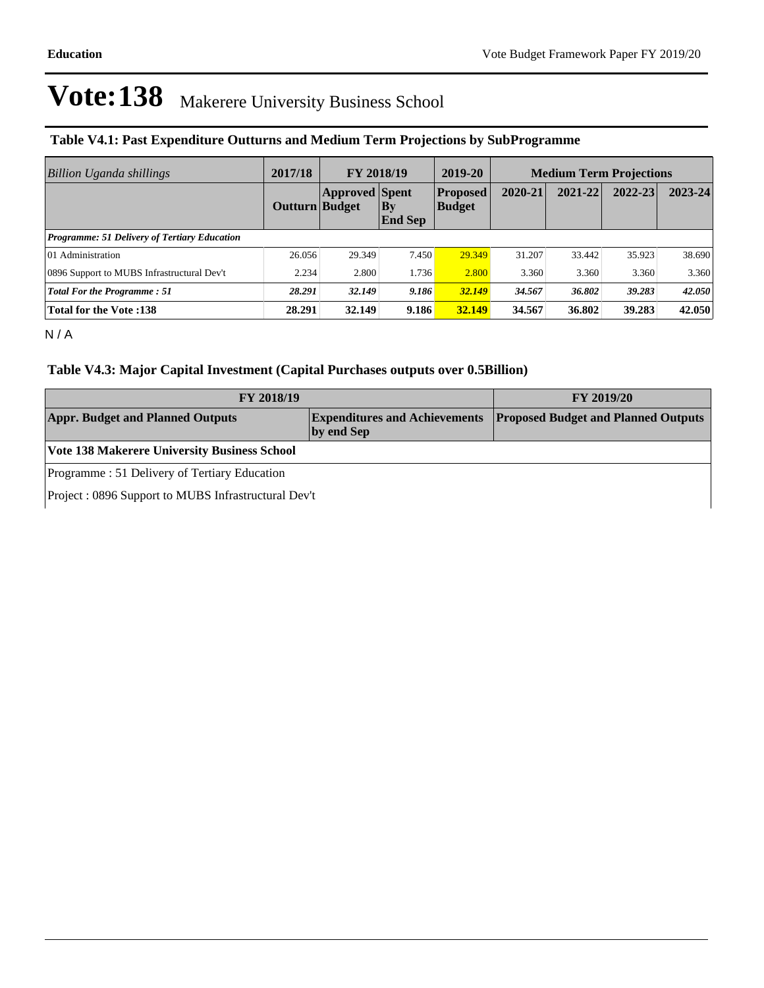#### **Table V4.1: Past Expenditure Outturns and Medium Term Projections by SubProgramme**

| <b>Billion Uganda shillings</b>                     | 2017/18               | <b>FY 2018/19</b>     |                             | 2019-20                          | <b>Medium Term Projections</b> |         |         |             |
|-----------------------------------------------------|-----------------------|-----------------------|-----------------------------|----------------------------------|--------------------------------|---------|---------|-------------|
|                                                     | <b>Outturn Budget</b> | <b>Approved Spent</b> | $\bf{By}$<br><b>End Sep</b> | <b>Proposed</b><br><b>Budget</b> | 2020-21                        | 2021-22 | 2022-23 | $2023 - 24$ |
| <b>Programme: 51 Delivery of Tertiary Education</b> |                       |                       |                             |                                  |                                |         |         |             |
| 01 Administration                                   | 26.056                | 29.349                | 7.450                       | 29.349                           | 31.207                         | 33.442  | 35.923  | 38.690      |
| 0896 Support to MUBS Infrastructural Dev't          | 2.234                 | 2.800                 | 1.736                       | 2.800                            | 3.360                          | 3.360   | 3.360   | 3.360       |
| Total For the Programme: 51                         | 28.291                | 32.149                | 9.186                       | 32.149                           | 34.567                         | 36.802  | 39.283  | 42.050      |
| <b>Total for the Vote:138</b>                       | 28.291                | 32.149                | 9.186                       | 32.149                           | 34.567                         | 36.802  | 39.283  | 42.050      |

N / A

#### **Table V4.3: Major Capital Investment (Capital Purchases outputs over 0.5Billion)**

| <b>FY 2018/19</b>                                     | <b>FY 2019/20</b> |                                                                          |  |  |  |
|-------------------------------------------------------|-------------------|--------------------------------------------------------------------------|--|--|--|
| <b>Appr. Budget and Planned Outputs</b><br>by end Sep |                   | <b>Expenditures and Achievements Proposed Budget and Planned Outputs</b> |  |  |  |
| Vote 138 Makerere University Business School          |                   |                                                                          |  |  |  |
| Programme: 51 Delivery of Tertiary Education          |                   |                                                                          |  |  |  |
| Project : 0896 Support to MUBS Infrastructural Dev't  |                   |                                                                          |  |  |  |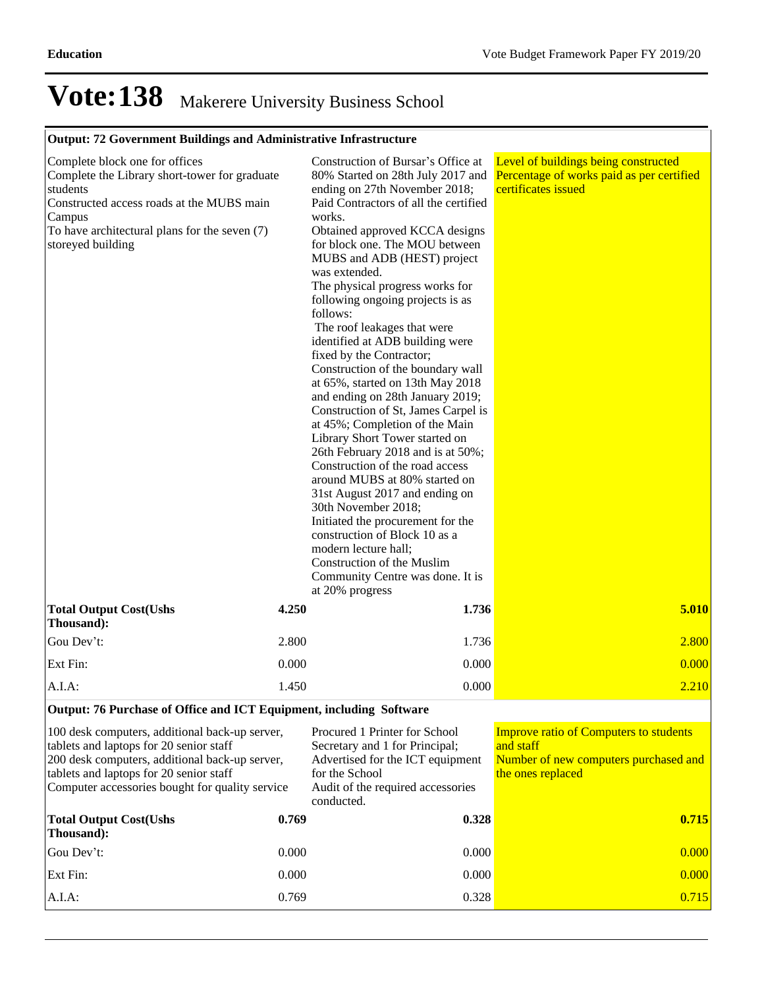### **Output: 72 Government Buildings and Administrative Infrastructure**

| Complete block one for offices<br>Complete the Library short-tower for graduate<br>students<br>Constructed access roads at the MUBS main<br>Campus<br>To have architectural plans for the seven (7)<br>storeyed building |       | Construction of Bursar's Office at<br>80% Started on 28th July 2017 and<br>ending on 27th November 2018;<br>Paid Contractors of all the certified<br>works.<br>Obtained approved KCCA designs<br>for block one. The MOU between<br>MUBS and ADB (HEST) project<br>was extended.<br>The physical progress works for<br>following ongoing projects is as<br>follows:<br>The roof leakages that were<br>identified at ADB building were<br>fixed by the Contractor;<br>Construction of the boundary wall<br>at 65%, started on 13th May 2018<br>and ending on 28th January 2019;<br>Construction of St, James Carpel is<br>at 45%; Completion of the Main<br>Library Short Tower started on<br>26th February 2018 and is at 50%;<br>Construction of the road access<br>around MUBS at 80% started on<br>31st August 2017 and ending on<br>30th November 2018;<br>Initiated the procurement for the<br>construction of Block 10 as a<br>modern lecture hall;<br>Construction of the Muslim<br>Community Centre was done. It is<br>at 20% progress | Level of buildings being constructed<br>Percentage of works paid as per certified<br>certificates issued |
|--------------------------------------------------------------------------------------------------------------------------------------------------------------------------------------------------------------------------|-------|-----------------------------------------------------------------------------------------------------------------------------------------------------------------------------------------------------------------------------------------------------------------------------------------------------------------------------------------------------------------------------------------------------------------------------------------------------------------------------------------------------------------------------------------------------------------------------------------------------------------------------------------------------------------------------------------------------------------------------------------------------------------------------------------------------------------------------------------------------------------------------------------------------------------------------------------------------------------------------------------------------------------------------------------------|----------------------------------------------------------------------------------------------------------|
| <b>Total Output Cost(Ushs</b><br>Thousand):                                                                                                                                                                              | 4.250 | 1.736                                                                                                                                                                                                                                                                                                                                                                                                                                                                                                                                                                                                                                                                                                                                                                                                                                                                                                                                                                                                                                         | 5.010                                                                                                    |
| Gou Dev't:                                                                                                                                                                                                               | 2.800 | 1.736                                                                                                                                                                                                                                                                                                                                                                                                                                                                                                                                                                                                                                                                                                                                                                                                                                                                                                                                                                                                                                         | 2.800                                                                                                    |
| Ext Fin:                                                                                                                                                                                                                 | 0.000 | 0.000                                                                                                                                                                                                                                                                                                                                                                                                                                                                                                                                                                                                                                                                                                                                                                                                                                                                                                                                                                                                                                         | 0.000                                                                                                    |
| A.I.A.                                                                                                                                                                                                                   | 1.450 | 0.000                                                                                                                                                                                                                                                                                                                                                                                                                                                                                                                                                                                                                                                                                                                                                                                                                                                                                                                                                                                                                                         | 2.210                                                                                                    |

#### **Output: 76 Purchase of Office and ICT Equipment, including Software**

| 100 desk computers, additional back-up server,<br>tablets and laptops for 20 senior staff<br>200 desk computers, additional back-up server,<br>tablets and laptops for 20 senior staff<br>Computer accessories bought for quality service |       | Procured 1 Printer for School<br>Secretary and 1 for Principal;<br>Advertised for the ICT equipment<br>for the School<br>Audit of the required accessories<br>conducted. | <b>Improve ratio of Computers to students</b><br>and staff<br>Number of new computers purchased and<br>the ones replaced |  |
|-------------------------------------------------------------------------------------------------------------------------------------------------------------------------------------------------------------------------------------------|-------|--------------------------------------------------------------------------------------------------------------------------------------------------------------------------|--------------------------------------------------------------------------------------------------------------------------|--|
| <b>Total Output Cost(Ushs</b><br>Thousand:                                                                                                                                                                                                | 0.769 | 0.328                                                                                                                                                                    | 0.715                                                                                                                    |  |
| Gou Dev't:                                                                                                                                                                                                                                | 0.000 | 0.000                                                                                                                                                                    | 0.000                                                                                                                    |  |
| Ext Fin:                                                                                                                                                                                                                                  | 0.000 | 0.000                                                                                                                                                                    | 0.000                                                                                                                    |  |
| $A.I.A$ :                                                                                                                                                                                                                                 | 0.769 | 0.328                                                                                                                                                                    | 0.715                                                                                                                    |  |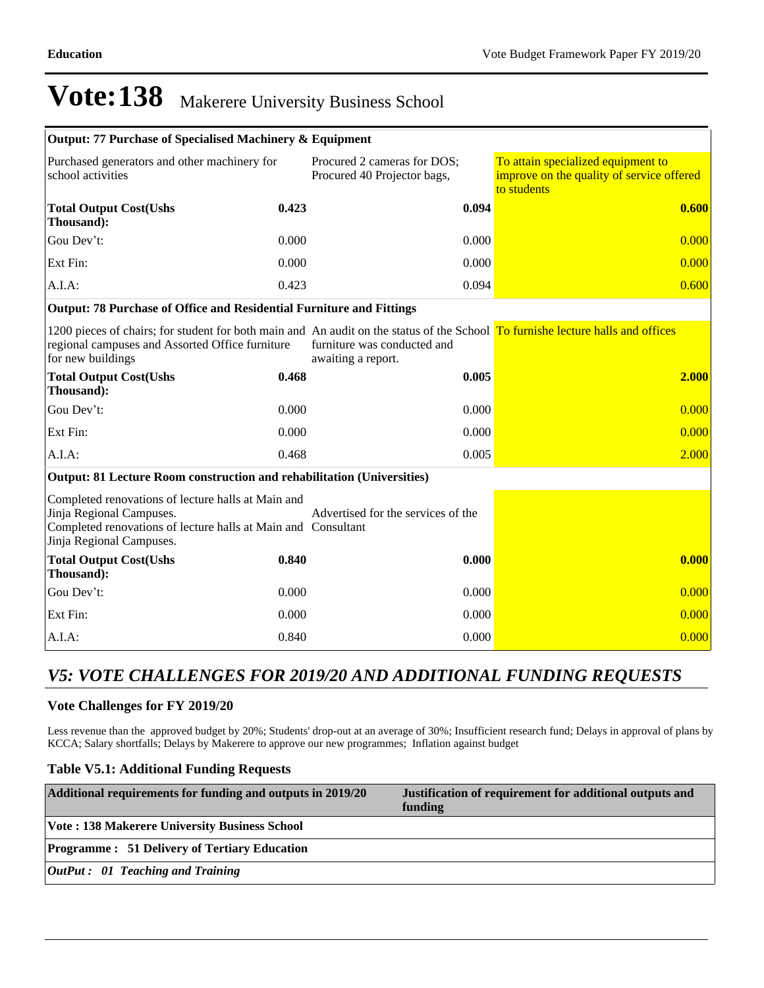| Output: 77 Purchase of Specialised Machinery & Equipment                                                                                                                                                |       |                                                            |                                                                                                |
|---------------------------------------------------------------------------------------------------------------------------------------------------------------------------------------------------------|-------|------------------------------------------------------------|------------------------------------------------------------------------------------------------|
| Purchased generators and other machinery for<br>school activities                                                                                                                                       |       | Procured 2 cameras for DOS;<br>Procured 40 Projector bags, | To attain specialized equipment to<br>improve on the quality of service offered<br>to students |
| <b>Total Output Cost(Ushs</b><br>Thousand):                                                                                                                                                             | 0.423 | 0.094                                                      | 0.600                                                                                          |
| Gou Dev't:                                                                                                                                                                                              | 0.000 | 0.000                                                      | 0.000                                                                                          |
| Ext Fin:                                                                                                                                                                                                | 0.000 | 0.000                                                      | 0.000                                                                                          |
| A.I.A:                                                                                                                                                                                                  | 0.423 | 0.094                                                      | 0.600                                                                                          |
| Output: 78 Purchase of Office and Residential Furniture and Fittings                                                                                                                                    |       |                                                            |                                                                                                |
| 1200 pieces of chairs; for student for both main and An audit on the status of the School To furnishe lecture halls and offices<br>regional campuses and Assorted Office furniture<br>for new buildings |       | furniture was conducted and<br>awaiting a report.          |                                                                                                |
| <b>Total Output Cost(Ushs</b><br>Thousand):                                                                                                                                                             | 0.468 | 0.005                                                      | 2.000                                                                                          |
| Gou Dev't:                                                                                                                                                                                              | 0.000 | 0.000                                                      | 0.000                                                                                          |
| Ext Fin:                                                                                                                                                                                                | 0.000 | 0.000                                                      | 0.000                                                                                          |
| A.I.A:                                                                                                                                                                                                  | 0.468 | 0.005                                                      | 2.000                                                                                          |
| Output: 81 Lecture Room construction and rehabilitation (Universities)                                                                                                                                  |       |                                                            |                                                                                                |
| Completed renovations of lecture halls at Main and<br>Jinja Regional Campuses.<br>Completed renovations of lecture halls at Main and Consultant<br>Jinja Regional Campuses.                             |       | Advertised for the services of the                         |                                                                                                |
| <b>Total Output Cost(Ushs</b><br>Thousand):                                                                                                                                                             | 0.840 | 0.000                                                      | 0.000                                                                                          |
| Gou Dev't:                                                                                                                                                                                              | 0.000 | 0.000                                                      | 0.000                                                                                          |
| Ext Fin:                                                                                                                                                                                                | 0.000 | 0.000                                                      | 0.000                                                                                          |
| A.I.A:                                                                                                                                                                                                  | 0.840 | 0.000                                                      | 0.000                                                                                          |

### *V5: VOTE CHALLENGES FOR 2019/20 AND ADDITIONAL FUNDING REQUESTS*

#### **Vote Challenges for FY 2019/20**

Less revenue than the approved budget by 20%; Students' drop-out at an average of 30%; Insufficient research fund; Delays in approval of plans by KCCA; Salary shortfalls; Delays by Makerere to approve our new programmes; Inflation against budget

### **Table V5.1: Additional Funding Requests**

| Additional requirements for funding and outputs in 2019/20 | Justification of requirement for additional outputs and<br>funding |
|------------------------------------------------------------|--------------------------------------------------------------------|
| <b>Vote: 138 Makerere University Business School</b>       |                                                                    |
| <b>Programme : 51 Delivery of Tertiary Education</b>       |                                                                    |
| $\vert$ OutPut : 01 Teaching and Training                  |                                                                    |